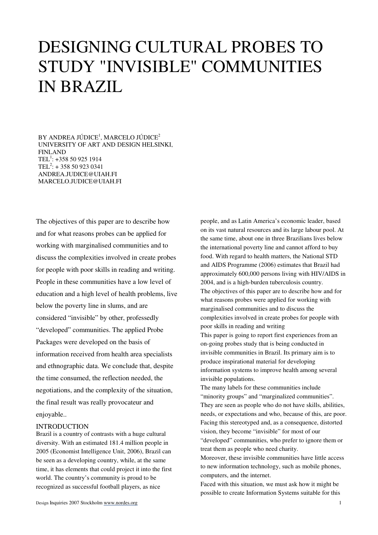# DESIGNING CULTURAL PROBES TO STUDY "INVISIBLE" COMMUNITIES IN BRAZIL

BY ANDREA JÚDICE<sup>1</sup>, MARCELO JÚDICE<sup>2</sup> UNIVERSITY OF ART AND DESIGN HELSINKI, FINLAND TEL<sup>1</sup>:  $+358509251914$ TEL<sup>2</sup>:  $+ 358509230341$ ANDREA.JUDICE@UIAH.FI MARCELO.JUDICE@UIAH.FI

The objectives of this paper are to describe how and for what reasons probes can be applied for working with marginalised communities and to discuss the complexities involved in create probes for people with poor skills in reading and writing. People in these communities have a low level of education and a high level of health problems, live below the poverty line in slums, and are considered "invisible" by other, professedly "developed" communities. The applied Probe Packages were developed on the basis of information received from health area specialists and ethnographic data. We conclude that, despite the time consumed, the reflection needed, the negotiations, and the complexity of the situation, the final result was really provocateur and enjoyable..

## INTRODUCTION

Brazil is a country of contrasts with a huge cultural diversity. With an estimated 181.4 million people in 2005 (Economist Intelligence Unit, 2006), Brazil can be seen as a developing country, while, at the same time, it has elements that could project it into the first world. The country's community is proud to be recognized as successful football players, as nice

people, and as Latin America's economic leader, based on its vast natural resources and its large labour pool. At the same time, about one in three Brazilians lives below the international poverty line and cannot afford to buy food. With regard to health matters, the National STD and AIDS Programme (2006) estimates that Brazil had approximately 600,000 persons living with HIV/AIDS in 2004, and is a high-burden tuberculosis country. The objectives of this paper are to describe how and for what reasons probes were applied for working with marginalised communities and to discuss the complexities involved in create probes for people with poor skills in reading and writing This paper is going to report first experiences from an

on-going probes study that is being conducted in invisible communities in Brazil. Its primary aim is to produce inspirational material for developing information systems to improve health among several invisible populations.

The many labels for these communities include "minority groups" and "marginalized communities". They are seen as people who do not have skills, abilities, needs, or expectations and who, because of this, are poor. Facing this stereotyped and, as a consequence, distorted vision, they become "invisible" for most of our "developed" communities, who prefer to ignore them or treat them as people who need charity.

Moreover, these invisible communities have little access to new information technology, such as mobile phones, computers, and the internet.

Faced with this situation, we must ask how it might be possible to create Information Systems suitable for this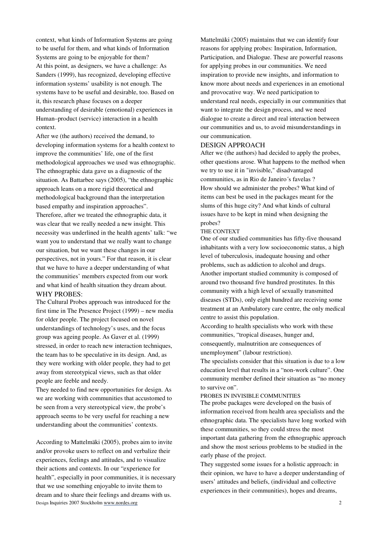context, what kinds of Information Systems are going to be useful for them, and what kinds of Information Systems are going to be enjoyable for them? At this point, as designers, we have a challenge: As Sanders (1999), has recognized, developing effective information systems' usability is not enough. The systems have to be useful and desirable, too. Based on it, this research phase focuses on a deeper understanding of desirable (emotional) experiences in Human–product (service) interaction in a health context.

After we (the authors) received the demand, to developing information systems for a health context to improve the communities' life, one of the first methodological approaches we used was ethnographic. The ethnographic data gave us a diagnostic of the situation. As Battarbee says (2005), "the ethnographic approach leans on a more rigid theoretical and methodological background than the interpretation based empathy and inspiration approaches". Therefore, after we treated the ethnographic data, it was clear that we really needed a new insight. This necessity was underlined in the health agents' talk: "we want you to understand that we really want to change our situation, but we want these changes in our perspectives, not in yours." For that reason, it is clear that we have to have a deeper understanding of what the communities' members expected from our work and what kind of health situation they dream about. WHY PROBES:

The Cultural Probes approach was introduced for the first time in The Presence Project (1999) – new media for older people. The project focused on novel understandings of technology's uses, and the focus group was ageing people. As Gaver et al. (1999) stressed, in order to reach new interaction techniques, the team has to be speculative in its design. And, as they were working with older people, they had to get away from stereotypical views, such as that older people are feeble and needy.

They needed to find new opportunities for design. As we are working with communities that accustomed to be seen from a very stereotypical view, the probe's approach seems to be very useful for reaching a new understanding about the communities' contexts.

Design Inquiries 2007 Stockholm www.nordes.org 2 According to Mattelmäki (2005), probes aim to invite and/or provoke users to reflect on and verbalize their experiences, feelings and attitudes, and to visualize their actions and contexts. In our "experience for health", especially in poor communities, it is necessary that we use something enjoyable to invite them to dream and to share their feelings and dreams with us.

Mattelmäki (2005) maintains that we can identify four reasons for applying probes: Inspiration, Information, Participation, and Dialogue. These are powerful reasons for applying probes in our communities. We need inspiration to provide new insights, and information to know more about needs and experiences in an emotional and provocative way. We need participation to understand real needs, especially in our communities that want to integrate the design process, and we need dialogue to create a direct and real interaction between our communities and us, to avoid misunderstandings in our communication.

## DESIGN APPROACH

After we (the authors) had decided to apply the probes, other questions arose. What happens to the method when we try to use it in "invisible," disadvantaged communities, as in Rio de Janeiro´s favelas ? How should we administer the probes? What kind of items can best be used in the packages meant for the slums of this huge city? And what kinds of cultural issues have to be kept in mind when designing the probes?

#### THE CONTEXT

One of our studied communities has fifty-five thousand inhabitants with a very low socioeconomic status, a high level of tuberculosis, inadequate housing and other problems, such as addiction to alcohol and drugs. Another important studied community is composed of

around two thousand five hundred prostitutes. In this community with a high level of sexually transmitted diseases (STDs), only eight hundred are receiving some treatment at an Ambulatory care centre, the only medical centre to assist this population.

According to health specialists who work with these communities, "tropical diseases, hunger and, consequently, malnutrition are consequences of unemployment" (labour restriction).

The specialists consider that this situation is due to a low education level that results in a "non-work culture". One community member defined their situation as "no money to survive on".

## PROBES IN INVISIBLE COMMUNITIES

The probe packages were developed on the basis of information received from health area specialists and the ethnographic data. The specialists have long worked with these communities, so they could stress the most important data gathering from the ethnographic approach and show the most serious problems to be studied in the early phase of the project.

They suggested some issues for a holistic approach: in their opinion, we have to have a deeper understanding of users' attitudes and beliefs, (individual and collective experiences in their communities), hopes and dreams,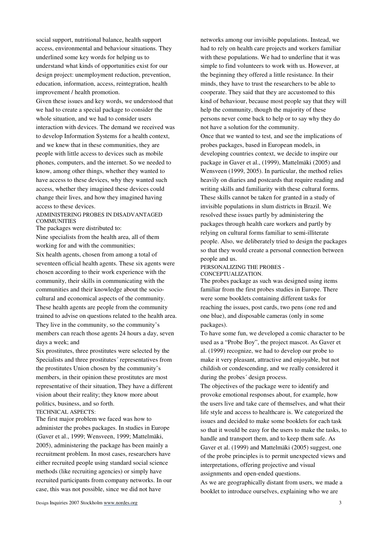social support, nutritional balance, health support access, environmental and behaviour situations. They underlined some key words for helping us to understand what kinds of opportunities exist for our design project: unemployment reduction, prevention, education, information, access, reintegration, health improvement / health promotion.

Given these issues and key words, we understood that we had to create a special package to consider the whole situation, and we had to consider users interaction with devices. The demand we received was to develop Information Systems for a health context, and we knew that in these communities, they are people with little access to devices such as mobile phones, computers, and the internet. So we needed to know, among other things, whether they wanted to have access to these devices, why they wanted such access, whether they imagined these devices could change their lives, and how they imagined having access to these devices.

## ADMINISTERING PROBES IN DISADVANTAGED **COMMUNITIES**

The packages were distributed to:

Nine specialists from the health area, all of them working for and with the communities;

Six health agents, chosen from among a total of seventeen official health agents. These six agents were chosen according to their work experience with the community, their skills in communicating with the communities and their knowledge about the sociocultural and economical aspects of the community. These health agents are people from the community trained to advise on questions related to the health area. They live in the community, so the community's members can reach those agents 24 hours a day, seven days a week; and

Six prostitutes, three prostitutes were selected by the Specialists and three prostitutes´ representatives from the prostitutes Union chosen by the community's members, in their opinion these prostitutes are most representative of their situation, They have a different vision about their reality; they know more about politics, business, and so forth.

## TECHNICAL ASPECTS:

The first major problem we faced was how to administer the probes packages. In studies in Europe (Gaver et al., 1999; Wensveen, 1999; Mattelmäki, 2005), administering the package has been mainly a recruitment problem. In most cases, researchers have either recruited people using standard social science methods (like recruiting agencies) or simply have recruited participants from company networks. In our case, this was not possible, since we did not have

networks among our invisible populations. Instead, we had to rely on health care projects and workers familiar with these populations. We had to underline that it was simple to find volunteers to work with us. However, at the beginning they offered a little resistance. In their minds, they have to trust the researchers to be able to cooperate. They said that they are accustomed to this kind of behaviour, because most people say that they will help the community, though the majority of these persons never come back to help or to say why they do not have a solution for the community.

Once that we wanted to test, and see the implications of probes packages, based in European models, in developing countries context, we decide to inspire our package in Gaver et al., (1999), Mattelmäki (2005) and Wensveen (1999, 2005). In particular, the method relies heavily on diaries and postcards that require reading and writing skills and familiarity with these cultural forms. These skills cannot be taken for granted in a study of invisible populations in slum districts in Brazil. We resolved these issues partly by administering the packages through health care workers and partly by relying on cultural forms familiar to semi-illiterate people. Also, we deliberately tried to design the packages so that they would create a personal connection between people and us.

#### PERSONALIZING THE PROBES - CONCEPTUALIZATION.

The probes package as such was designed using items familiar from the first probes studies in Europe. There were some booklets containing different tasks for reaching the issues, post cards, two pens (one red and one blue), and disposable cameras (only in some packages).

To have some fun, we developed a comic character to be used as a "Probe Boy", the project mascot. As Gaver et al. (1999) recognize, we had to develop our probe to make it very pleasant, attractive and enjoyable, but not childish or condescending, and we really considered it during the probes´ design process.

The objectives of the package were to identify and provoke emotional responses about, for example, how the users live and take care of themselves, and what their life style and access to healthcare is. We categorized the issues and decided to make some booklets for each task so that it would be easy for the users to make the tasks, to handle and transport them, and to keep them safe. As Gaver et al. (1999) and Mattelmäki (2005) suggest, one of the probe principles is to permit unexpected views and interpretations, offering projective and visual assignments and open-ended questions.

As we are geographically distant from users, we made a booklet to introduce ourselves, explaining who we are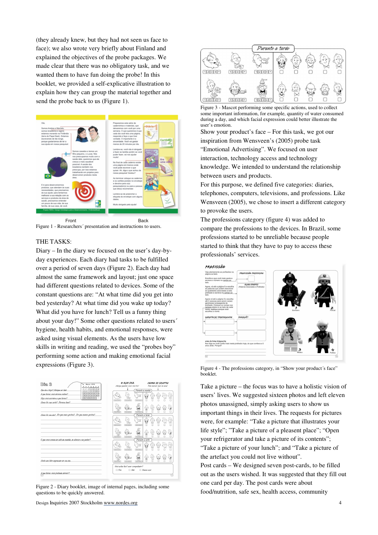(they already knew, but they had not seen us face to face); we also wrote very briefly about Finland and explained the objectives of the probe packages. We made clear that there was no obligatory task, and we wanted them to have fun doing the probe! In this booklet, we provided a self-explicative illustration to explain how they can group the material together and send the probe back to us (Figure 1).





## THE TASKS:

Diary – In the diary we focused on the user's day-byday experiences. Each diary had tasks to be fulfilled over a period of seven days (Figure 2). Each day had almost the same framework and layout; just one space had different questions related to devices. Some of the constant questions are: "At what time did you get into bed yesterday? At what time did you wake up today? What did you have for lunch? Tell us a funny thing about your day!" Some other questions related to users´ hygiene, health habits, and emotional responses, were asked using visual elements. As the users have low skills in writing and reading, we used the "probes boy" performing some action and making emotional facial expressions (Figure 3).



Figure 2 - Diary booklet, image of internal pages, including some questions to be quickly answered.

Design Inquiries 2007 Stockholm www.nordes.org 4



Figure 3 - Mascot performing some specific actions, used to collect some important information, for example, quantity of water consumed during a day, and which facial expression could better illustrate the user's emotion.

Show your product's face – For this task, we got our inspiration from Wensveen's (2005) probe task "Emotional Advertising". We focused on user interaction, technology access and technology knowledge. We intended to understand the relationship between users and products.

For this purpose, we defined five categories: diaries, telephones, computers, televisions, and professions. Like Wensveen (2005), we chose to insert a different category to provoke the users.

The professions category (figure 4) was added to compare the professions to the devices. In Brazil, some professions started to be unreliable because people started to think that they have to pay to access these professionals' services.



Figure 4 - The professions category, in "Show your product's face" booklet.

Take a picture – the focus was to have a holistic vision of users' lives. We suggested sixteen photos and left eleven photos unassigned, simply asking users to show us important things in their lives. The requests for pictures were, for example: "Take a picture that illustrates your life style"; "Take a picture of a pleasent place"; "Open your refrigerator and take a picture of its contents"; "Take a picture of your lunch"; and "Take a picture of the artefact you could not live without". Post cards – We designed seven post-cards, to be filled out as the users wished. It was suggested that they fill out one card per day. The post cards were about food/nutrition, safe sex, health access, community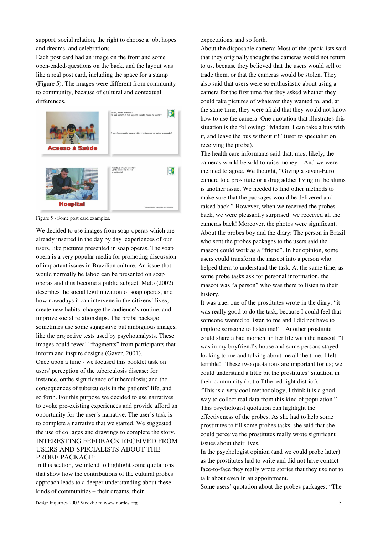support, social relation, the right to choose a job, hopes and dreams, and celebrations.

Each post card had an image on the front and some open-ended-questions on the back, and the layout was like a real post card, including the space for a stamp (Figure 5). The images were different from community to community, because of cultural and contextual differences.



Figure 5 - Some post card examples.

We decided to use images from soap-operas which are already inserted in the day by day experiences of our users, like pictures presented in soap operas. The soap opera is a very popular media for promoting discussion of important issues in Brazilian culture. An issue that would normally be taboo can be presented on soap operas and thus become a public subject. Melo (2002) describes the social legitimization of soap operas, and how nowadays it can intervene in the citizens' lives, create new habits, change the audience's routine, and improve social relationships. The probe package sometimes use some suggestive but ambiguous images, like the projective tests used by psychoanalysts. These images could reveal "fragments" from participants that inform and inspire designs (Gaver, 2001). Once upon a time - we focused this booklet task on users' perception of the tuberculosis disease: for instance, onthe significance of tuberculosis; and the consequences of tuberculosis in the patients' life, and so forth. For this purpose we decided to use narratives to evoke pre-existing experiences and provide afford an opportunity for the user's narrative. The user's task is to complete a narrative that we started. We suggested the use of collages and drawings to complete the story. INTERESTING FEEDBACK RECEIVED FROM USERS AND SPECIALISTS ABOUT THE PROBE PACKAGE:

In this section, we intend to highlight some quotations that show how the contributions of the cultural probes approach leads to a deeper understanding about these kinds of communities – their dreams, their

expectations, and so forth.

About the disposable camera: Most of the specialists said that they originally thought the cameras would not return to us, because they believed that the users would sell or trade them, or that the cameras would be stolen. They also said that users were so enthusiastic about using a camera for the first time that they asked whether they could take pictures of whatever they wanted to, and, at the same time, they were afraid that they would not know how to use the camera. One quotation that illustrates this situation is the following: "Madam, I can take a bus with it, and leave the bus without it!" (user to specialist on receiving the probe).

The health care informants said that, most likely, the cameras would be sold to raise money. –And we were inclined to agree. We thought, "Giving a seven-Euro camera to a prostitute or a drug addict living in the slums is another issue. We needed to find other methods to make sure that the packages would be delivered and raised back." However, when we received the probes back, we were pleasantly surprised: we received all the cameras back! Moreover, the photos were significant. About the probes boy and the diary: The person in Brazil who sent the probes packages to the users said the mascot could work as a "friend". In her opinion, some users could transform the mascot into a person who helped them to understand the task. At the same time, as some probe tasks ask for personal information, the mascot was "a person" who was there to listen to their history.

It was true, one of the prostitutes wrote in the diary: "it was really good to do the task, because I could feel that someone wanted to listen to me and I did not have to implore someone to listen me!" . Another prostitute could share a bad moment in her life with the mascot: "I was in my boyfriend's house and some persons stayed looking to me and talking about me all the time, I felt terrible!" These two quotations are important for us; we could understand a little bit the prostitutes' situation in their community (out off the red light district).

"This is a very cool methodology; I think it is a good way to collect real data from this kind of population." This psychologist quotation can highlight the effectiveness of the probes. As she had to help some prostitutes to fill some probes tasks, she said that she could perceive the prostitutes really wrote significant issues about their lives.

In the psychologist opinion (and we could probe latter) as the prostitutes had to write and did not have contact face-to-face they really wrote stories that they use not to talk about even in an appointment.

Some users' quotation about the probes packages: "The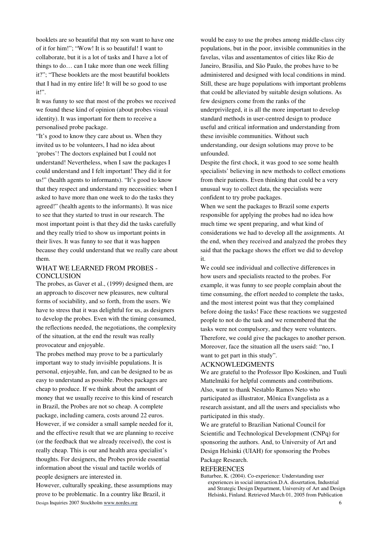booklets are so beautiful that my son want to have one of it for him!"; "Wow! It is so beautiful! I want to collaborate, but it is a lot of tasks and I have a lot of things to do… can I take more than one week filling it?"; "These booklets are the most beautiful booklets that I had in my entire life! It will be so good to use it!".

It was funny to see that most of the probes we received we found these kind of opinion (about probes visual identity). It was important for them to receive a personalised probe package.

"It's good to know they care about us. When they invited us to be volunteers, I had no idea about 'probes'! The doctors explained but I could not understand! Nevertheless, when I saw the packages I could understand and I felt important! They did it for us!" (health agents to informants). "It's good to know that they respect and understand my necessities: when I asked to have more than one week to do the tasks they agreed!" (health agents to the informants). It was nice to see that they started to trust in our research. The most important point is that they did the tasks carefully and they really tried to show us important points in their lives. It was funny to see that it was happen because they could understand that we really care about them.

# WHAT WE LEARNED FROM PROBES - **CONCLUSION**

The probes, as Gaver et al., (1999) designed them, are an approach to discover new pleasures, new cultural forms of sociability, and so forth, from the users. We have to stress that it was delightful for us, as designers to develop the probes. Even with the timing consumed, the reflections needed, the negotiations, the complexity of the situation, at the end the result was really provocateur and enjoyable.

The probes method may prove to be a particularly important way to study invisible populations. It is personal, enjoyable, fun, and can be designed to be as easy to understand as possible. Probes packages are cheap to produce. If we think about the amount of money that we usually receive to this kind of research in Brazil, the Probes are not so cheap. A complete package, including camera, costs around 22 euros. However, if we consider a small sample needed for it, and the effective result that we are planning to receive (or the feedback that we already received), the cost is really cheap. This is our and health area specialist's thoughts. For designers, the Probes provide essential information about the visual and tactile worlds of people designers are interested in.

Design Inquiries 2007 Stockholm www.nordes.org 6 However, culturally speaking, these assumptions may prove to be problematic. In a country like Brazil, it

would be easy to use the probes among middle-class city populations, but in the poor, invisible communities in the favelas, vilas and assentamentos of cities like Rio de Janeiro, Brasilia, and São Paulo, the probes have to be administered and designed with local conditions in mind. Still, these are huge populations with important problems that could be alleviated by suitable design solutions. As few designers come from the ranks of the underprivileged, it is all the more important to develop standard methods in user-centred design to produce useful and critical information and understanding from these invisible communities. Without such understanding, our design solutions may prove to be unfounded.

Despite the first chock, it was good to see some health specialists' believing in new methods to collect emotions from their patients. Even thinking that could be a very unusual way to collect data, the specialists were confident to try probe packages.

When we sent the packages to Brazil some experts responsible for applying the probes had no idea how much time we spent preparing, and what kind of considerations we had to develop all the assignments. At the end, when they received and analyzed the probes they said that the package shows the effort we did to develop it.

We could see individual and collective differences in how users and specialists reacted to the probes. For example, it was funny to see people complain about the time consuming, the effort needed to complete the tasks, and the most interest point was that they complained before doing the tasks! Face these reactions we suggested people to not do the task and we remembered that the tasks were not compulsory, and they were volunteers. Therefore, we could give the packages to another person. Moreover, face the situation all the users said: "no, I want to get part in this study".

## ACKNOWLEDGMENTS

We are grateful to the Professor Ilpo Koskinen, and Tuuli Mattelmäki for helpful comments and contributions. Also, want to thank Nestablo Ramos Neto who participated as illustrator, Mônica Evangelista as a research assistant, and all the users and specialists who participated in this study.

We are grateful to Brazilian National Council for Scientific and Technological Development (CNPq) for sponsoring the authors. And, to University of Art and Design Helsinki (UIAH) for sponsoring the Probes

Package Research.

#### **REFERENCES**

Battarbee, K. (2004). Co-experience: Understanding user experiences in social interaction.D.A. dissertation, Industrial and Strategic Design Department, University of Art and Design Helsinki, Finland. Retrieved March 01, 2005 from Publication